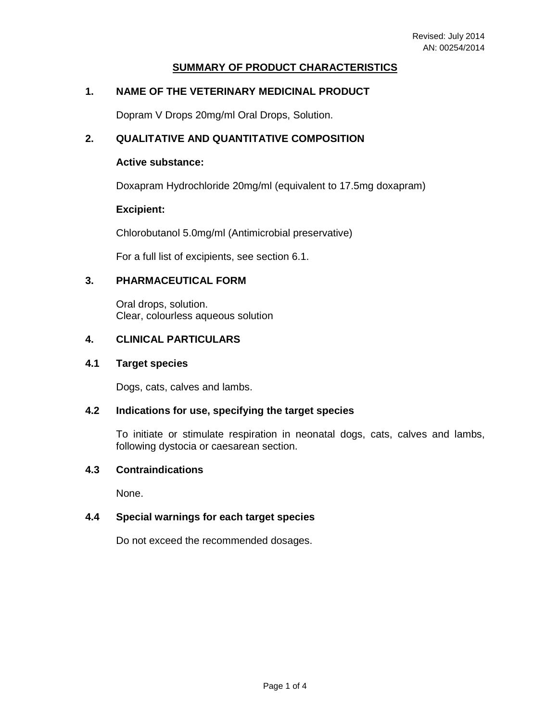## **SUMMARY OF PRODUCT CHARACTERISTICS**

## **1. NAME OF THE VETERINARY MEDICINAL PRODUCT**

Dopram V Drops 20mg/ml Oral Drops, Solution.

## **2. QUALITATIVE AND QUANTITATIVE COMPOSITION**

#### **Active substance:**

Doxapram Hydrochloride 20mg/ml (equivalent to 17.5mg doxapram)

#### **Excipient:**

Chlorobutanol 5.0mg/ml (Antimicrobial preservative)

For a full list of excipients, see section 6.1.

#### **3. PHARMACEUTICAL FORM**

Oral drops, solution. Clear, colourless aqueous solution

### **4. CLINICAL PARTICULARS**

### **4.1 Target species**

Dogs, cats, calves and lambs.

## **4.2 Indications for use, specifying the target species**

To initiate or stimulate respiration in neonatal dogs, cats, calves and lambs, following dystocia or caesarean section.

#### **4.3 Contraindications**

None.

## **4.4 Special warnings for each target species**

Do not exceed the recommended dosages.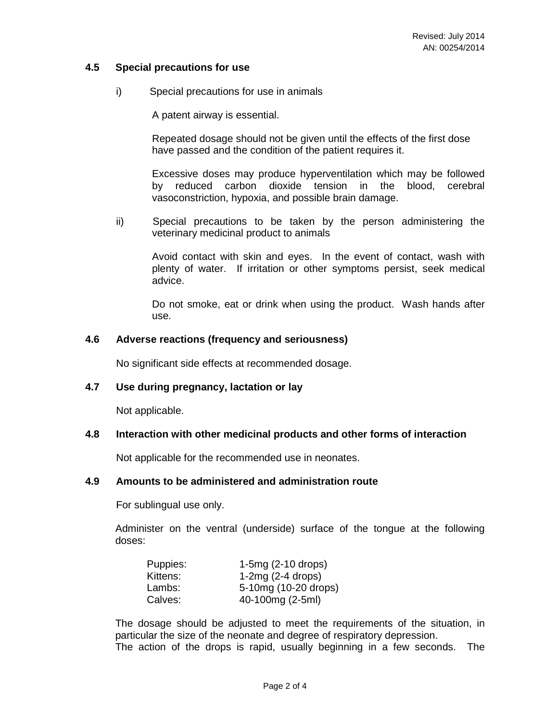## **4.5 Special precautions for use**

i) Special precautions for use in animals

A patent airway is essential.

Repeated dosage should not be given until the effects of the first dose have passed and the condition of the patient requires it.

Excessive doses may produce hyperventilation which may be followed by reduced carbon dioxide tension in the blood, cerebral vasoconstriction, hypoxia, and possible brain damage.

ii) Special precautions to be taken by the person administering the veterinary medicinal product to animals

Avoid contact with skin and eyes. In the event of contact, wash with plenty of water. If irritation or other symptoms persist, seek medical advice.

Do not smoke, eat or drink when using the product. Wash hands after use.

#### **4.6 Adverse reactions (frequency and seriousness)**

No significant side effects at recommended dosage.

#### **4.7 Use during pregnancy, lactation or lay**

Not applicable.

#### **4.8 Interaction with other medicinal products and other forms of interaction**

Not applicable for the recommended use in neonates.

## **4.9 Amounts to be administered and administration route**

For sublingual use only.

 Administer on the ventral (underside) surface of the tongue at the following doses:

| Puppies: | $1-5mg(2-10$ drops)  |
|----------|----------------------|
| Kittens: | $1-2mg(2-4$ drops)   |
| Lambs:   | 5-10mg (10-20 drops) |
| Calves:  | 40-100mg (2-5ml)     |

 The dosage should be adjusted to meet the requirements of the situation, in particular the size of the neonate and degree of respiratory depression. The action of the drops is rapid, usually beginning in a few seconds. The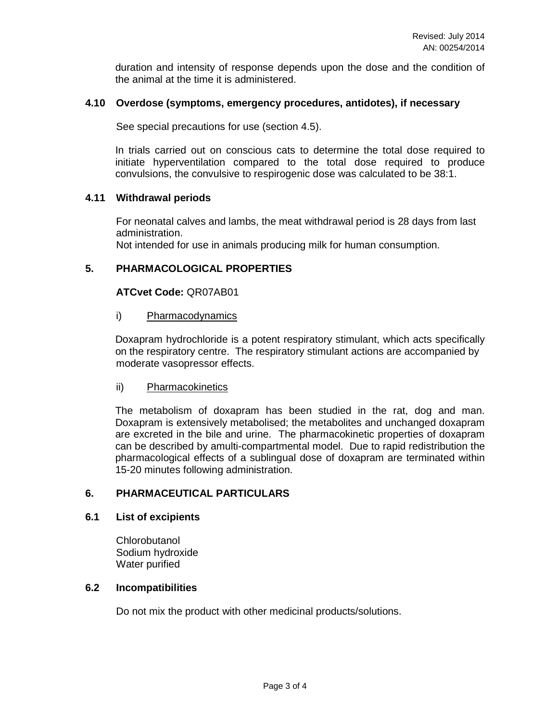duration and intensity of response depends upon the dose and the condition of the animal at the time it is administered.

### **4.10 Overdose (symptoms, emergency procedures, antidotes), if necessary**

See special precautions for use (section 4.5).

 In trials carried out on conscious cats to determine the total dose required to initiate hyperventilation compared to the total dose required to produce convulsions, the convulsive to respirogenic dose was calculated to be 38:1.

## **4.11 Withdrawal periods**

For neonatal calves and lambs, the meat withdrawal period is 28 days from last administration.

Not intended for use in animals producing milk for human consumption.

## **5. PHARMACOLOGICAL PROPERTIES**

## **ATCvet Code:** QR07AB01

## i) Pharmacodynamics

 Doxapram hydrochloride is a potent respiratory stimulant, which acts specifically on the respiratory centre. The respiratory stimulant actions are accompanied by moderate vasopressor effects.

#### ii) Pharmacokinetics

 The metabolism of doxapram has been studied in the rat, dog and man. Doxapram is extensively metabolised; the metabolites and unchanged doxapram are excreted in the bile and urine. The pharmacokinetic properties of doxapram can be described by amulti-compartmental model. Due to rapid redistribution the pharmacological effects of a sublingual dose of doxapram are terminated within 15-20 minutes following administration.

## **6. PHARMACEUTICAL PARTICULARS**

## **6.1 List of excipients**

**Chlorobutanol** Sodium hydroxide Water purified

## **6.2 Incompatibilities**

Do not mix the product with other medicinal products/solutions.